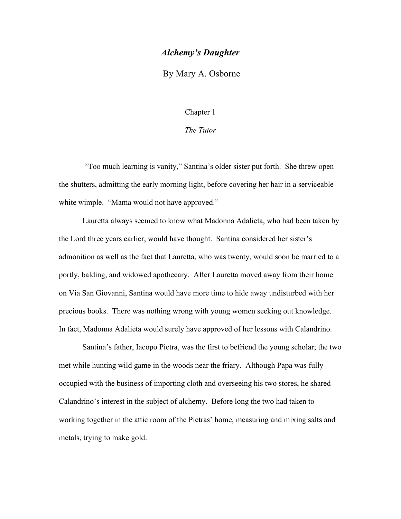## *Alchemy's Daughter*

By Mary A. Osborne

Chapter 1

*The Tutor*

"Too much learning is vanity," Santina's older sister put forth. She threw open the shutters, admitting the early morning light, before covering her hair in a serviceable white wimple. "Mama would not have approved."

Lauretta always seemed to know what Madonna Adalieta, who had been taken by the Lord three years earlier, would have thought. Santina considered her sister's admonition as well as the fact that Lauretta, who was twenty, would soon be married to a portly, balding, and widowed apothecary. After Lauretta moved away from their home on Via San Giovanni, Santina would have more time to hide away undisturbed with her precious books. There was nothing wrong with young women seeking out knowledge. In fact, Madonna Adalieta would surely have approved of her lessons with Calandrino.

Santina's father, Iacopo Pietra, was the first to befriend the young scholar; the two met while hunting wild game in the woods near the friary. Although Papa was fully occupied with the business of importing cloth and overseeing his two stores, he shared Calandrino's interest in the subject of alchemy. Before long the two had taken to working together in the attic room of the Pietras' home, measuring and mixing salts and metals, trying to make gold.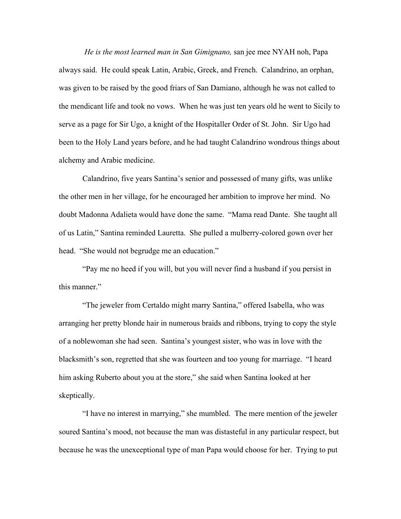*He is the most learned man in San Gimignano,* san jee mee NYAH noh, Papa always said. He could speak Latin, Arabic, Greek, and French. Calandrino, an orphan, was given to be raised by the good friars of San Damiano, although he was not called to the mendicant life and took no vows. When he was just ten years old he went to Sicily to serve as a page for Sir Ugo, a knight of the Hospitaller Order of St. John. Sir Ugo had been to the Holy Land years before, and he had taught Calandrino wondrous things about alchemy and Arabic medicine.

Calandrino, five years Santina's senior and possessed of many gifts, was unlike the other men in her village, for he encouraged her ambition to improve her mind. No doubt Madonna Adalieta would have done the same. "Mama read Dante. She taught all of us Latin," Santina reminded Lauretta. She pulled a mulberry-colored gown over her head. "She would not begrudge me an education."

"Pay me no heed if you will, but you will never find a husband if you persist in this manner."

"The jeweler from Certaldo might marry Santina," offered Isabella, who was arranging her pretty blonde hair in numerous braids and ribbons, trying to copy the style of a noblewoman she had seen. Santina's youngest sister, who was in love with the blacksmith's son, regretted that she was fourteen and too young for marriage. "I heard him asking Ruberto about you at the store," she said when Santina looked at her skeptically.

"I have no interest in marrying," she mumbled. The mere mention of the jeweler soured Santina's mood, not because the man was distasteful in any particular respect, but because he was the unexceptional type of man Papa would choose for her. Trying to put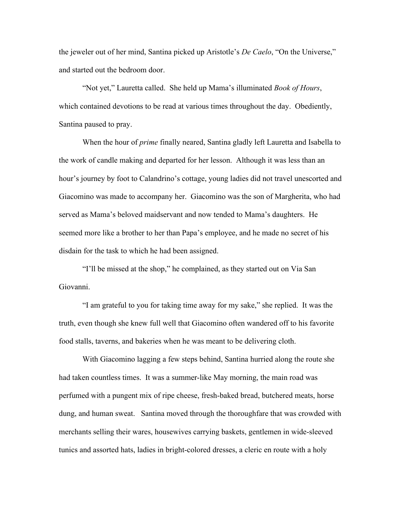the jeweler out of her mind, Santina picked up Aristotle's *De Caelo*, "On the Universe," and started out the bedroom door.

"Not yet," Lauretta called. She held up Mama's illuminated *Book of Hours*, which contained devotions to be read at various times throughout the day. Obediently, Santina paused to pray.

When the hour of *prime* finally neared, Santina gladly left Lauretta and Isabella to the work of candle making and departed for her lesson. Although it was less than an hour's journey by foot to Calandrino's cottage, young ladies did not travel unescorted and Giacomino was made to accompany her. Giacomino was the son of Margherita, who had served as Mama's beloved maidservant and now tended to Mama's daughters. He seemed more like a brother to her than Papa's employee, and he made no secret of his disdain for the task to which he had been assigned.

"I'll be missed at the shop," he complained, as they started out on Via San Giovanni.

"I am grateful to you for taking time away for my sake," she replied. It was the truth, even though she knew full well that Giacomino often wandered off to his favorite food stalls, taverns, and bakeries when he was meant to be delivering cloth.

With Giacomino lagging a few steps behind, Santina hurried along the route she had taken countless times. It was a summer-like May morning, the main road was perfumed with a pungent mix of ripe cheese, fresh-baked bread, butchered meats, horse dung, and human sweat. Santina moved through the thoroughfare that was crowded with merchants selling their wares, housewives carrying baskets, gentlemen in wide-sleeved tunics and assorted hats, ladies in bright-colored dresses, a cleric en route with a holy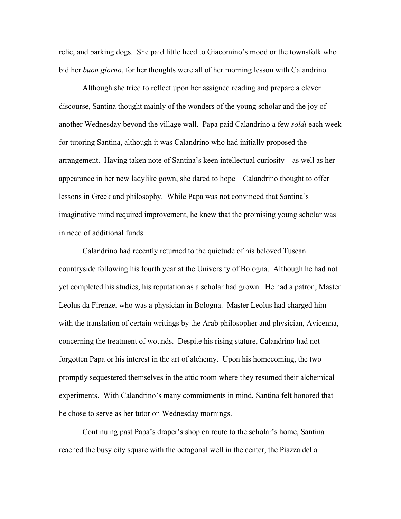relic, and barking dogs. She paid little heed to Giacomino's mood or the townsfolk who bid her *buon giorno*, for her thoughts were all of her morning lesson with Calandrino.

Although she tried to reflect upon her assigned reading and prepare a clever discourse, Santina thought mainly of the wonders of the young scholar and the joy of another Wednesday beyond the village wall. Papa paid Calandrino a few *soldi* each week for tutoring Santina, although it was Calandrino who had initially proposed the arrangement. Having taken note of Santina's keen intellectual curiosity—as well as her appearance in her new ladylike gown, she dared to hope—Calandrino thought to offer lessons in Greek and philosophy. While Papa was not convinced that Santina's imaginative mind required improvement, he knew that the promising young scholar was in need of additional funds.

Calandrino had recently returned to the quietude of his beloved Tuscan countryside following his fourth year at the University of Bologna. Although he had not yet completed his studies, his reputation as a scholar had grown. He had a patron, Master Leolus da Firenze, who was a physician in Bologna. Master Leolus had charged him with the translation of certain writings by the Arab philosopher and physician, Avicenna, concerning the treatment of wounds. Despite his rising stature, Calandrino had not forgotten Papa or his interest in the art of alchemy. Upon his homecoming, the two promptly sequestered themselves in the attic room where they resumed their alchemical experiments. With Calandrino's many commitments in mind, Santina felt honored that he chose to serve as her tutor on Wednesday mornings.

Continuing past Papa's draper's shop en route to the scholar's home, Santina reached the busy city square with the octagonal well in the center, the Piazza della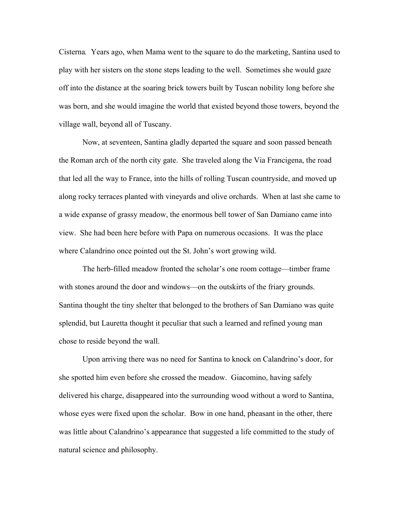Cisterna*.* Years ago, when Mama went to the square to do the marketing, Santina used to play with her sisters on the stone steps leading to the well. Sometimes she would gaze off into the distance at the soaring brick towers built by Tuscan nobility long before she was born, and she would imagine the world that existed beyond those towers, beyond the village wall, beyond all of Tuscany.

Now, at seventeen, Santina gladly departed the square and soon passed beneath the Roman arch of the north city gate. She traveled along the Via Francigena, the road that led all the way to France, into the hills of rolling Tuscan countryside, and moved up along rocky terraces planted with vineyards and olive orchards. When at last she came to a wide expanse of grassy meadow, the enormous bell tower of San Damiano came into view. She had been here before with Papa on numerous occasions. It was the place where Calandrino once pointed out the St. John's wort growing wild.

The herb-filled meadow fronted the scholar's one room cottage—timber frame with stones around the door and windows—on the outskirts of the friary grounds. Santina thought the tiny shelter that belonged to the brothers of San Damiano was quite splendid, but Lauretta thought it peculiar that such a learned and refined young man chose to reside beyond the wall.

Upon arriving there was no need for Santina to knock on Calandrino's door, for she spotted him even before she crossed the meadow. Giacomino, having safely delivered his charge, disappeared into the surrounding wood without a word to Santina, whose eyes were fixed upon the scholar. Bow in one hand, pheasant in the other, there was little about Calandrino's appearance that suggested a life committed to the study of natural science and philosophy.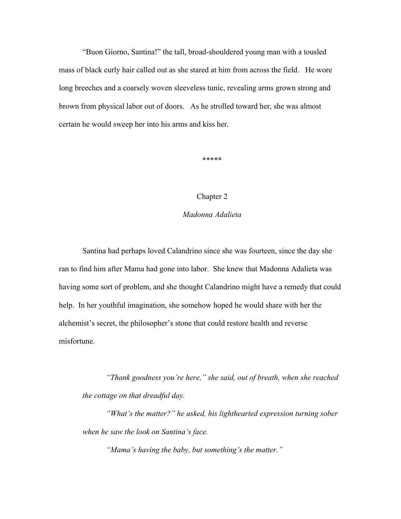"Buon Giorno, Santina!" the tall, broad-shouldered young man with a tousled mass of black curly hair called out as she stared at him from across the field. He wore long breeches and a coarsely woven sleeveless tunic, revealing arms grown strong and brown from physical labor out of doors. As he strolled toward her, she was almost certain he would sweep her into his arms and kiss her.

\*\*\*\*\*

## Chapter 2

## *Madonna Adalieta*

Santina had perhaps loved Calandrino since she was fourteen, since the day she ran to find him after Mama had gone into labor. She knew that Madonna Adalieta was having some sort of problem, and she thought Calandrino might have a remedy that could help. In her youthful imagination, she somehow hoped he would share with her the alchemist's secret, the philosopher's stone that could restore health and reverse misfortune.

*"Thank goodness you're here," she said, out of breath, when she reached the cottage on that dreadful day.* 

*"What's the matter?" he asked, his lighthearted expression turning sober when he saw the look on Santina's face.* 

*"Mama's having the baby, but something's the matter."*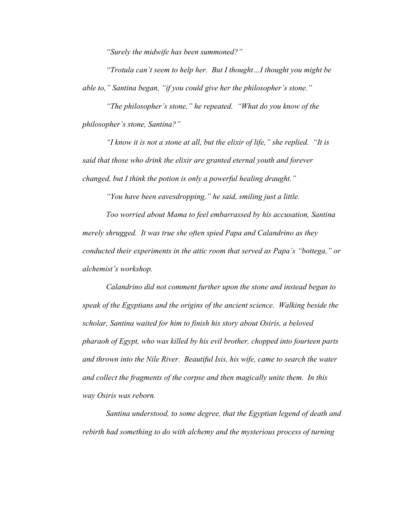*"Surely the midwife has been summoned?"*

*"Trotula can't seem to help her. But I thought…I thought you might be able to," Santina began, "if you could give her the philosopher's stone."*

*"The philosopher's stone," he repeated. "What do you know of the philosopher's stone, Santina?"* 

*"I know it is not a stone at all, but the elixir of life," she replied. "It is said that those who drink the elixir are granted eternal youth and forever changed, but I think the potion is only a powerful healing draught."*

*"You have been eavesdropping," he said, smiling just a little.*

*Too worried about Mama to feel embarrassed by his accusation, Santina merely shrugged. It was true she often spied Papa and Calandrino as they conducted their experiments in the attic room that served as Papa's "bottega," or alchemist's workshop.*

*Calandrino did not comment further upon the stone and instead began to speak of the Egyptians and the origins of the ancient science. Walking beside the scholar, Santina waited for him to finish his story about Osiris, a beloved pharaoh of Egypt, who was killed by his evil brother, chopped into fourteen parts and thrown into the Nile River. Beautiful Isis, his wife, came to search the water and collect the fragments of the corpse and then magically unite them. In this way Osiris was reborn.* 

*Santina understood, to some degree, that the Egyptian legend of death and rebirth had something to do with alchemy and the mysterious process of turning*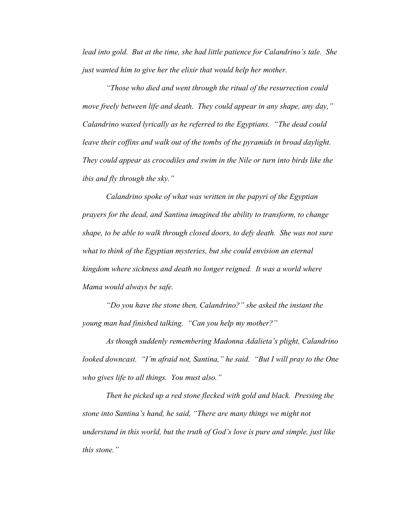*lead into gold. But at the time, she had little patience for Calandrino's tale. She just wanted him to give her the elixir that would help her mother.*

*"Those who died and went through the ritual of the resurrection could move freely between life and death. They could appear in any shape, any day," Calandrino waxed lyrically as he referred to the Egyptians. "The dead could*  leave their coffins and walk out of the tombs of the pyramids in broad daylight. *They could appear as crocodiles and swim in the Nile or turn into birds like the ibis and fly through the sky."*

*Calandrino spoke of what was written in the papyri of the Egyptian prayers for the dead, and Santina imagined the ability to transform, to change shape, to be able to walk through closed doors, to defy death. She was not sure what to think of the Egyptian mysteries, but she could envision an eternal kingdom where sickness and death no longer reigned. It was a world where Mama would always be safe.*

*"Do you have the stone then, Calandrino?" she asked the instant the young man had finished talking. "Can you help my mother?"*

*As though suddenly remembering Madonna Adalieta's plight, Calandrino looked downcast. "I'm afraid not, Santina," he said. "But I will pray to the One who gives life to all things. You must also."*

*Then he picked up a red stone flecked with gold and black. Pressing the stone into Santina's hand, he said, "There are many things we might not understand in this world, but the truth of God's love is pure and simple, just like this stone."*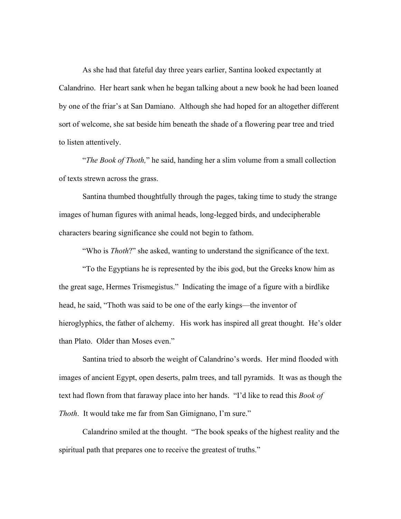As she had that fateful day three years earlier, Santina looked expectantly at Calandrino. Her heart sank when he began talking about a new book he had been loaned by one of the friar's at San Damiano. Although she had hoped for an altogether different sort of welcome, she sat beside him beneath the shade of a flowering pear tree and tried to listen attentively.

"*The Book of Thoth,*" he said, handing her a slim volume from a small collection of texts strewn across the grass.

Santina thumbed thoughtfully through the pages, taking time to study the strange images of human figures with animal heads, long-legged birds, and undecipherable characters bearing significance she could not begin to fathom.

"Who is *Thoth*?" she asked, wanting to understand the significance of the text.

"To the Egyptians he is represented by the ibis god, but the Greeks know him as the great sage, Hermes Trismegistus." Indicating the image of a figure with a birdlike head, he said, "Thoth was said to be one of the early kings—the inventor of hieroglyphics, the father of alchemy. His work has inspired all great thought. He's older than Plato. Older than Moses even."

Santina tried to absorb the weight of Calandrino's words. Her mind flooded with images of ancient Egypt, open deserts, palm trees, and tall pyramids. It was as though the text had flown from that faraway place into her hands. "I'd like to read this *Book of Thoth*. It would take me far from San Gimignano, I'm sure."

Calandrino smiled at the thought. "The book speaks of the highest reality and the spiritual path that prepares one to receive the greatest of truths."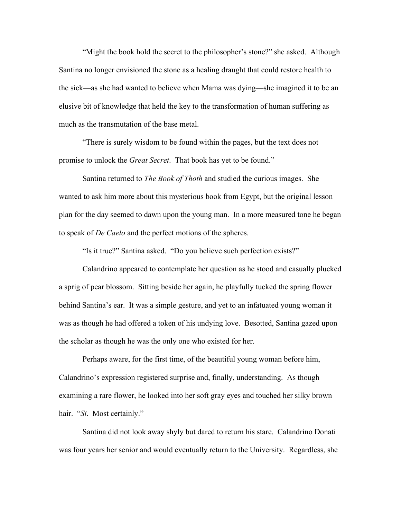"Might the book hold the secret to the philosopher's stone?" she asked. Although Santina no longer envisioned the stone as a healing draught that could restore health to the sick—as she had wanted to believe when Mama was dying—she imagined it to be an elusive bit of knowledge that held the key to the transformation of human suffering as much as the transmutation of the base metal.

"There is surely wisdom to be found within the pages, but the text does not promise to unlock the *Great Secret*. That book has yet to be found."

Santina returned to *The Book of Thoth* and studied the curious images. She wanted to ask him more about this mysterious book from Egypt, but the original lesson plan for the day seemed to dawn upon the young man. In a more measured tone he began to speak of *De Caelo* and the perfect motions of the spheres.

"Is it true?" Santina asked. "Do you believe such perfection exists?"

Calandrino appeared to contemplate her question as he stood and casually plucked a sprig of pear blossom. Sitting beside her again, he playfully tucked the spring flower behind Santina's ear. It was a simple gesture, and yet to an infatuated young woman it was as though he had offered a token of his undying love. Besotted, Santina gazed upon the scholar as though he was the only one who existed for her.

Perhaps aware, for the first time, of the beautiful young woman before him, Calandrino's expression registered surprise and, finally, understanding. As though examining a rare flower, he looked into her soft gray eyes and touched her silky brown hair. "Si. Most certainly."

Santina did not look away shyly but dared to return his stare. Calandrino Donati was four years her senior and would eventually return to the University. Regardless, she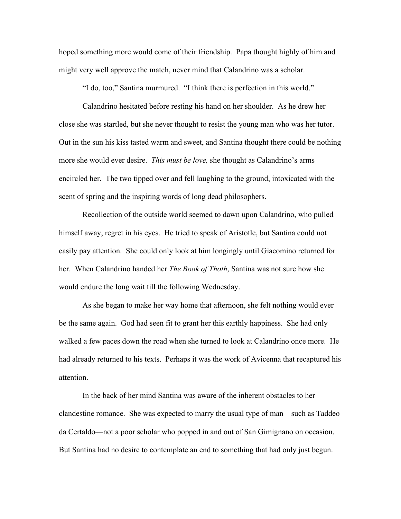hoped something more would come of their friendship. Papa thought highly of him and might very well approve the match, never mind that Calandrino was a scholar.

"I do, too," Santina murmured. "I think there is perfection in this world."

Calandrino hesitated before resting his hand on her shoulder. As he drew her close she was startled, but she never thought to resist the young man who was her tutor. Out in the sun his kiss tasted warm and sweet, and Santina thought there could be nothing more she would ever desire. *This must be love,* she thought as Calandrino's arms encircled her. The two tipped over and fell laughing to the ground, intoxicated with the scent of spring and the inspiring words of long dead philosophers.

Recollection of the outside world seemed to dawn upon Calandrino, who pulled himself away, regret in his eyes. He tried to speak of Aristotle, but Santina could not easily pay attention. She could only look at him longingly until Giacomino returned for her. When Calandrino handed her *The Book of Thoth*, Santina was not sure how she would endure the long wait till the following Wednesday.

As she began to make her way home that afternoon, she felt nothing would ever be the same again. God had seen fit to grant her this earthly happiness. She had only walked a few paces down the road when she turned to look at Calandrino once more. He had already returned to his texts. Perhaps it was the work of Avicenna that recaptured his attention.

In the back of her mind Santina was aware of the inherent obstacles to her clandestine romance. She was expected to marry the usual type of man—such as Taddeo da Certaldo—not a poor scholar who popped in and out of San Gimignano on occasion. But Santina had no desire to contemplate an end to something that had only just begun.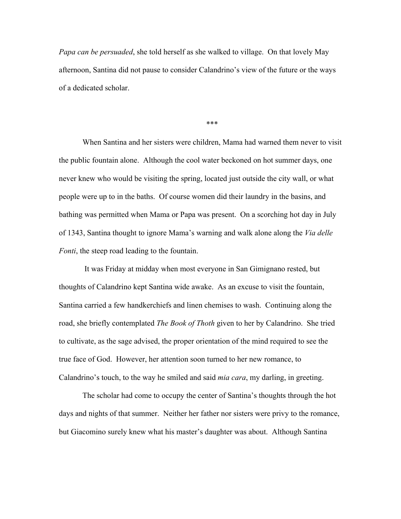*Papa can be persuaded*, she told herself as she walked to village. On that lovely May afternoon, Santina did not pause to consider Calandrino's view of the future or the ways of a dedicated scholar.

\*\*\*

When Santina and her sisters were children, Mama had warned them never to visit the public fountain alone. Although the cool water beckoned on hot summer days, one never knew who would be visiting the spring, located just outside the city wall, or what people were up to in the baths. Of course women did their laundry in the basins, and bathing was permitted when Mama or Papa was present. On a scorching hot day in July of 1343, Santina thought to ignore Mama's warning and walk alone along the *Via delle Fonti*, the steep road leading to the fountain.

It was Friday at midday when most everyone in San Gimignano rested, but thoughts of Calandrino kept Santina wide awake. As an excuse to visit the fountain, Santina carried a few handkerchiefs and linen chemises to wash. Continuing along the road, she briefly contemplated *The Book of Thoth* given to her by Calandrino. She tried to cultivate, as the sage advised, the proper orientation of the mind required to see the true face of God. However, her attention soon turned to her new romance, to Calandrino's touch, to the way he smiled and said *mia cara*, my darling, in greeting.

The scholar had come to occupy the center of Santina's thoughts through the hot days and nights of that summer. Neither her father nor sisters were privy to the romance, but Giacomino surely knew what his master's daughter was about. Although Santina